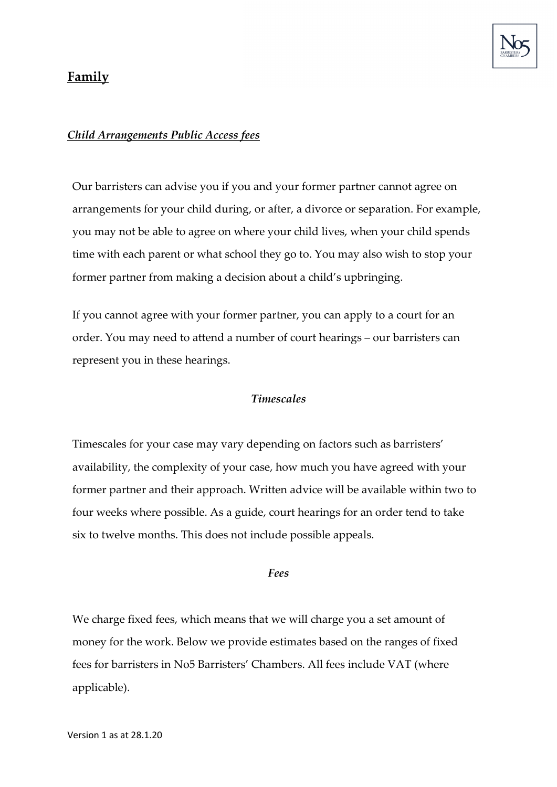

## **Family**

## *Child Arrangements Public Access fees*

Our barristers can advise you if you and your former partner cannot agree on arrangements for your child during, or after, a divorce or separation. For example, you may not be able to agree on where your child lives, when your child spends time with each parent or what school they go to. You may also wish to stop your former partner from making a decision about a child's upbringing.

If you cannot agree with your former partner, you can apply to a court for an order. You may need to attend a number of court hearings – our barristers can represent you in these hearings.

## *Timescales*

Timescales for your case may vary depending on factors such as barristers' availability, the complexity of your case, how much you have agreed with your former partner and their approach. Written advice will be available within two to four weeks where possible. As a guide, court hearings for an order tend to take six to twelve months. This does not include possible appeals.

## *Fees*

We charge fixed fees, which means that we will charge you a set amount of money for the work. Below we provide estimates based on the ranges of fixed fees for barristers in No5 Barristers' Chambers. All fees include VAT (where applicable).